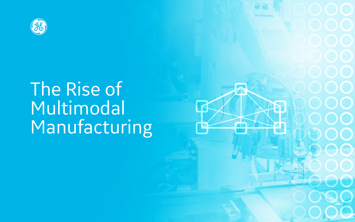

# The Rise of Multimodal Manufacturing

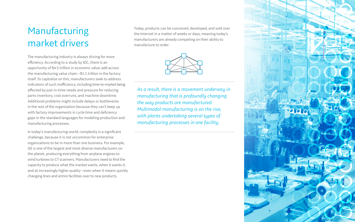## Manufacturing market drivers

The manufacturing industry is always driving for more efficiency. According to a study by IDC, there is an opportunity of \$4.5 trillion in economic value-add across the manufacturing value chain—\$1.1 trillion in the factory itself. To capitalize on this, manufacturers seek to address indicators of such inefficiency, including time-to-market being affected by just-in-time needs and pressure for reducing parts inventory, cost overruns, and machine downtime. Additional problems might include delays or bottlenecks in the rest of the organization because they can't keep up with factory improvements in cycle time and deficiency gaps in the standard languages for modeling production and manufacturing processes.

In today's manufacturing world, complexity is a significant challenge, because it is not uncommon for enterprise organizations to be in more than one business. For example, GE is one of the largest and most diverse manufacturers on the planet, producing everything from airplane engines to wind turbines to CT scanners. Manufacturers need to find the capacity to produce what the market wants, when it wants it, and at increasingly higher quality—even when it means quickly changing lines and entire facilities over to new products.

Today, products can be conceived, developed, and sold over the Internet in a matter of weeks or days, meaning today's manufacturers are already competing on their ability to manufacture to order.



*As a result, there is a movement underway in manufacturing that is profoundly changing the way products are manufactured. Multimodal manufacturing is on the rise, with plants undertaking several types of manufacturing processes in one facility.* 

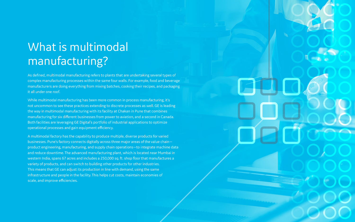# What is multimodal manufacturing?

As defined, multimodal manufacturing refers to plants that are undertaking several types of complex manufacturing processes within the same four walls. For example, food and beverage manufacturers are doing everything from mixing batches, cooking their recipes, and packaging it all under one roof.

While multimodal manufacturing has been more common in process manufacturing, it's not uncommon to see these practices extending to discrete processes as well. GE is leading the way in multimodal manufacturing with its facility at Chakan in Pune that combines manufacturing for six different businesses from power to aviation, and a second in Canada. Both facilities are leveraging GE Digital's portfolio of industrial applications to optimize operational processes and gain equipment efficiency.

A multimodal factory has the capability to produce multiple, diverse products for varied businesses. Pune's factory connects digitally across three major areas of the value chain product engineering, manufacturing, and supply chain operations—to integrate machine data and reduce downtime. The advanced manufacturing plant, which is located near Mumbai in western India, spans 67 acres and includes a 250,000 sq. ft. shop floor that manufactures a variety of products, and can switch to building other products for other industries. This means that GE can adjust its production in line with demand, using the same infrastructure and people in the facility. This helps cut costs, maintain economies of scale, and improve efficiencies.

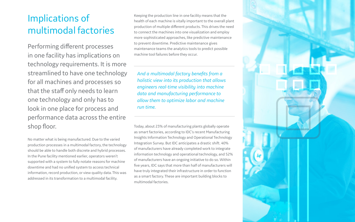Keeping the production line in one facility means that the health of each machine is vitally important to the overall plant production of multiple different products. This drives the need to connect the machines into one visualization and employ more sophisticated approaches, like predictive maintenance to prevent downtime. Predictive maintenance gives maintenance teams the analytics tools to predict possible machine tool failures before they occur.

Today, about 23% of manufacturing plants globally operate as smart factories, according to IDC's recent Manufacturing Insights Information Technology and Operational Technology Integration Survey. But IDC anticipates a drastic shift. 40% of manufacturers have already completed work to integrate information technology and operational technology, and 52% of manufacturers have an ongoing initiative to do so. Within five years, IDC says that more than half of manufacturers will have truly integrated their infrastructure in order to function as a smart factory. These are important building blocks to multimodal factories.



### Implications of multimodal factories

Performing different processes in one facility has implications on technology requirements. It is more streamlined to have one technology for all machines and processes so that the staff only needs to learn one technology and only has to look in one place for process and performance data across the entire shop floor.

No matter what is being manufactured. Due to the varied production processes in a multimodal factory, the technology should be able to handle both discrete and hybrid processes. In the Pune facility mentioned earlier, operators weren't supported with a system to fully notate reasons for machine downtime and had no unified system to access technical information, record production, or view quality data. This was addressed in its transformation to a multimodal facility.

*And a multimodal factory benefits from a holistic view into its production that allows engineers real-time visibility into machine data and manufacturing performance to allow them to optimize labor and machine run time.*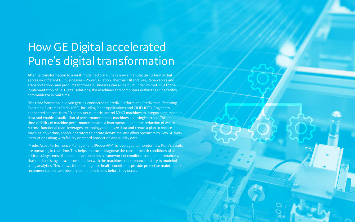# How GE Digital accelerated Pune's digital transformation

After its transformation to a multimodal factory, Pune is now a manufacturing facility that serves six different GE businesses—Power, Aviation, Thermal, Oil and Gas, Renewables and Transportation—and products for these businesses can all be built under its roof. Due to the implementation of GE Digital solutions, the machines and computers within the Pune facility communicate in real-time.

 The transformation involved getting connected to Predix Platform and Predix Manufacturing Execution Systems (Predix MES), including Plant Applications and CIMPLICITY. Engineers connected sensors from 20 computer numeric control (CNC) machines to integrate the machine data and enable visualization of performance across machines on a single screen. This realtime visibility of machine performance enables a lean operation and the reduction of waste. A cross-functional team leverages technology to analyze data and create a plan to reduce machine downtime, enable operators to notate downtime, and allow operators to view 3D work instructions along with facility or record production and quality data.

 Predix Asset Performance Management (Predix APM) is leveraged to monitor how Pune's assets are operating in real-time. This helps operators diagnose the current health conditions of all critical subsystems of a machine and enables a framework of condition-based maintenance when that machine's tag data, in combination with the machines' maintenance history, is modeled using analytics. This allows them to diagnose health conditions, provide predictive maintenance recommendations and identify equipment issues before they occur.

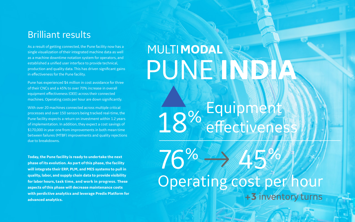As a result of getting connected, the Pune facility now has a single visualization of their integrated machine data as well as a machine downtime notation system for operators, and established a unified user interface to provide technical, production and quality data. This has driven significant gains in effectiveness for the Pune facility.

Pune has experienced \$4 million in cost avoidance for three of their CNCs and a 45% to over 70% increase in overall equipment effectiveness (OEE) across their connected machines. Operating costs per hour are down significantly.

With over 20 machines connected across multiple critical processes and over 150 sensors being tracked real-time, the Pune facility expects a return on investment within 1.2 years of implementation. In addition, they expect a cost savings of \$170,000 in year one from improvements in both mean time between failures (MTBF) improvements and quality rejections due to breakdowns.

#### Brilliant results

**Today, the Pune facility is ready to undertake the next phase of its evolution. As part of this phase, the facility will integrate their ERP, PLM, and MES systems to pull in quality, labor, and supply chain data to provide visibility for labor hours, task time, and work in progress. These aspects of this phase will decrease maintenance costs with perdictive analytics and leverage Predix Platform for advanced analytics.**

# **MULTIMODAL** PUNEINDIA

18% Equipment

76% Operating cost per hour

+3 inventory turns